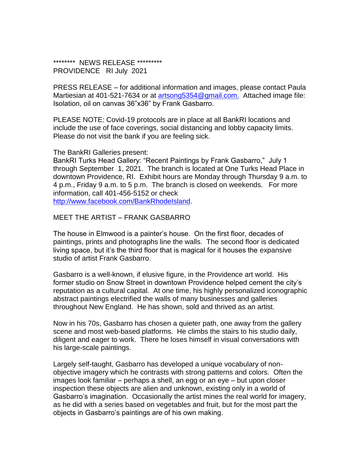\*\*\*\*\*\*\*\*\* NEWS RELEASE \*\*\*\*\*\*\*\*\*\* PROVIDENCE RI July 2021

PRESS RELEASE – for additional information and images, please contact Paula Martiesian at 401-521-7634 or at artsong 5354@gmail.com. Attached image file: Isolation, oil on canvas 36"x36" by Frank Gasbarro.

PLEASE NOTE: Covid-19 protocols are in place at all BankRI locations and include the use of face coverings, social distancing and lobby capacity limits. Please do not visit the bank if you are feeling sick.

The BankRI Galleries present:

BankRI Turks Head Gallery: "Recent Paintings by Frank Gasbarro," July 1 through September 1, 2021. The branch is located at One Turks Head Place in downtown Providence, RI. Exhibit hours are Monday through Thursday 9 a.m. to 4 p.m., Friday 9 a.m. to 5 p.m. The branch is closed on weekends. For more information, call 401-456-5152 or check [http://www.facebook.com/BankRhodeIsland.](http://www.facebook.com/BankRhodeIsland)

MEET THE ARTIST – FRANK GASBARRO

The house in Elmwood is a painter's house. On the first floor, decades of paintings, prints and photographs line the walls. The second floor is dedicated living space, but it's the third floor that is magical for it houses the expansive studio of artist Frank Gasbarro.

Gasbarro is a well-known, if elusive figure, in the Providence art world. His former studio on Snow Street in downtown Providence helped cement the city's reputation as a cultural capital. At one time, his highly personalized iconographic abstract paintings electrified the walls of many businesses and galleries throughout New England. He has shown, sold and thrived as an artist.

Now in his 70s, Gasbarro has chosen a quieter path, one away from the gallery scene and most web-based platforms. He climbs the stairs to his studio daily, diligent and eager to work. There he loses himself in visual conversations with his large-scale paintings.

Largely self-taught, Gasbarro has developed a unique vocabulary of nonobjective imagery which he contrasts with strong patterns and colors. Often the images look familiar – perhaps a shell, an egg or an eye – but upon closer inspection these objects are alien and unknown, existing only in a world of Gasbarro's imagination. Occasionally the artist mines the real world for imagery, as he did with a series based on vegetables and fruit, but for the most part the objects in Gasbarro's paintings are of his own making.